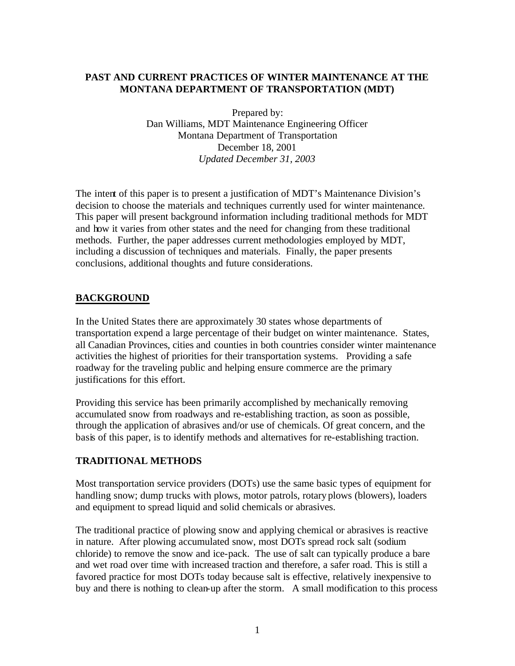# **PAST AND CURRENT PRACTICES OF WINTER MAINTENANCE AT THE MONTANA DEPARTMENT OF TRANSPORTATION (MDT)**

Prepared by: Dan Williams, MDT Maintenance Engineering Officer Montana Department of Transportation December 18, 2001 *Updated December 31, 2003*

The intent of this paper is to present a justification of MDT's Maintenance Division's decision to choose the materials and techniques currently used for winter maintenance. This paper will present background information including traditional methods for MDT and how it varies from other states and the need for changing from these traditional methods. Further, the paper addresses current methodologies employed by MDT, including a discussion of techniques and materials. Finally, the paper presents conclusions, additional thoughts and future considerations.

# **BACKGROUND**

In the United States there are approximately 30 states whose departments of transportation expend a large percentage of their budget on winter maintenance. States, all Canadian Provinces, cities and counties in both countries consider winter maintenance activities the highest of priorities for their transportation systems. Providing a safe roadway for the traveling public and helping ensure commerce are the primary justifications for this effort.

Providing this service has been primarily accomplished by mechanically removing accumulated snow from roadways and re-establishing traction, as soon as possible, through the application of abrasives and/or use of chemicals. Of great concern, and the basis of this paper, is to identify methods and alternatives for re-establishing traction.

# **TRADITIONAL METHODS**

Most transportation service providers (DOTs) use the same basic types of equipment for handling snow; dump trucks with plows, motor patrols, rotary plows (blowers), loaders and equipment to spread liquid and solid chemicals or abrasives.

The traditional practice of plowing snow and applying chemical or abrasives is reactive in nature. After plowing accumulated snow, most DOTs spread rock salt (sodium chloride) to remove the snow and ice-pack. The use of salt can typically produce a bare and wet road over time with increased traction and therefore, a safer road. This is still a favored practice for most DOTs today because salt is effective, relatively inexpensive to buy and there is nothing to clean-up after the storm. A small modification to this process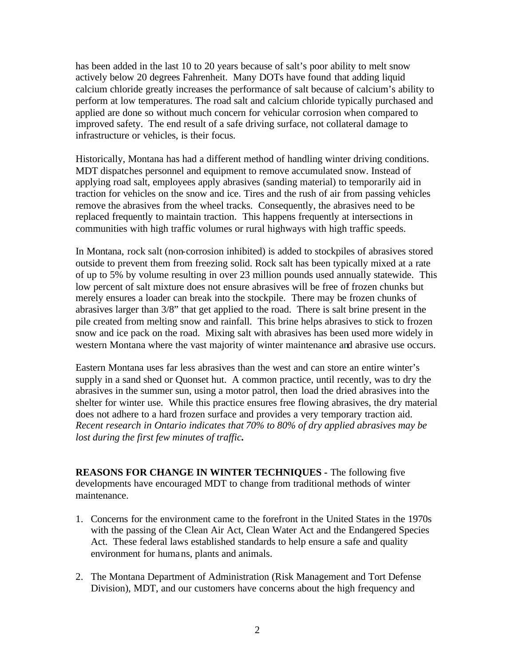has been added in the last 10 to 20 years because of salt's poor ability to melt snow actively below 20 degrees Fahrenheit. Many DOTs have found that adding liquid calcium chloride greatly increases the performance of salt because of calcium's ability to perform at low temperatures. The road salt and calcium chloride typically purchased and applied are done so without much concern for vehicular corrosion when compared to improved safety. The end result of a safe driving surface, not collateral damage to infrastructure or vehicles, is their focus.

Historically, Montana has had a different method of handling winter driving conditions. MDT dispatches personnel and equipment to remove accumulated snow. Instead of applying road salt, employees apply abrasives (sanding material) to temporarily aid in traction for vehicles on the snow and ice. Tires and the rush of air from passing vehicles remove the abrasives from the wheel tracks. Consequently, the abrasives need to be replaced frequently to maintain traction. This happens frequently at intersections in communities with high traffic volumes or rural highways with high traffic speeds.

In Montana, rock salt (non-corrosion inhibited) is added to stockpiles of abrasives stored outside to prevent them from freezing solid. Rock salt has been typically mixed at a rate of up to 5% by volume resulting in over 23 million pounds used annually statewide. This low percent of salt mixture does not ensure abrasives will be free of frozen chunks but merely ensures a loader can break into the stockpile. There may be frozen chunks of abrasives larger than 3/8" that get applied to the road. There is salt brine present in the pile created from melting snow and rainfall. This brine helps abrasives to stick to frozen snow and ice pack on the road. Mixing salt with abrasives has been used more widely in western Montana where the vast majority of winter maintenance and abrasive use occurs.

Eastern Montana uses far less abrasives than the west and can store an entire winter's supply in a sand shed or Quonset hut. A common practice, until recently, was to dry the abrasives in the summer sun, using a motor patrol, then load the dried abrasives into the shelter for winter use. While this practice ensures free flowing abrasives, the dry material does not adhere to a hard frozen surface and provides a very temporary traction aid. *Recent research in Ontario indicates that 70% to 80% of dry applied abrasives may be lost during the first few minutes of traffic.*

**REASONS FOR CHANGE IN WINTER TECHNIQUES -** The following five developments have encouraged MDT to change from traditional methods of winter maintenance.

- 1. Concerns for the environment came to the forefront in the United States in the 1970s with the passing of the Clean Air Act, Clean Water Act and the Endangered Species Act. These federal laws established standards to help ensure a safe and quality environment for humans, plants and animals.
- 2. The Montana Department of Administration (Risk Management and Tort Defense Division), MDT, and our customers have concerns about the high frequency and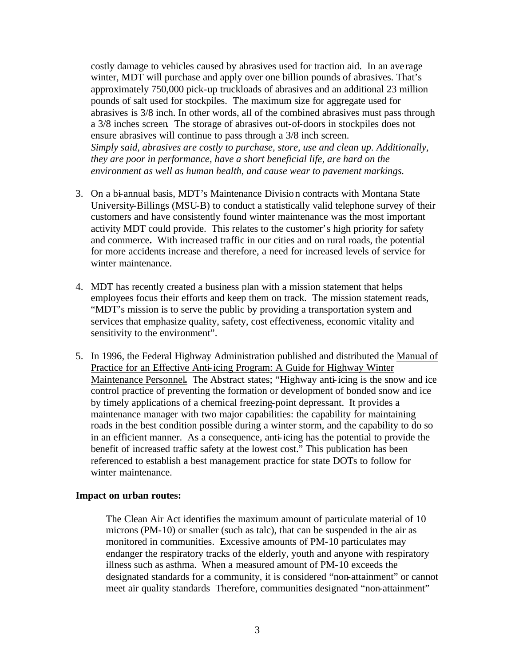costly damage to vehicles caused by abrasives used for traction aid. In an ave rage winter, MDT will purchase and apply over one billion pounds of abrasives. That's approximately 750,000 pick-up truckloads of abrasives and an additional 23 million pounds of salt used for stockpiles. The maximum size for aggregate used for abrasives is 3/8 inch. In other words, all of the combined abrasives must pass through a 3/8 inches screen*.* The storage of abrasives out-of-doors in stockpiles does not ensure abrasives will continue to pass through a 3/8 inch screen. *Simply said, abrasives are costly to purchase, store, use and clean up. Additionally, they are poor in performance, have a short beneficial life, are hard on the environment as well as human health, and cause wear to pavement markings.*

- 3. On a bi-annual basis, MDT's Maintenance Division contracts with Montana State University-Billings (MSU-B) to conduct a statistically valid telephone survey of their customers and have consistently found winter maintenance was the most important activity MDT could provide. This relates to the customer's high priority for safety and commerce**.** With increased traffic in our cities and on rural roads, the potential for more accidents increase and therefore, a need for increased levels of service for winter maintenance.
- 4. MDT has recently created a business plan with a mission statement that helps employees focus their efforts and keep them on track. The mission statement reads, "MDT's mission is to serve the public by providing a transportation system and services that emphasize quality, safety, cost effectiveness, economic vitality and sensitivity to the environment".
- 5. In 1996, the Federal Highway Administration published and distributed the Manual of Practice for an Effective Anti-icing Program: A Guide for Highway Winter Maintenance Personnel**.** The Abstract states; "Highway anti-icing is the snow and ice control practice of preventing the formation or development of bonded snow and ice by timely applications of a chemical freezing-point depressant. It provides a maintenance manager with two major capabilities: the capability for maintaining roads in the best condition possible during a winter storm, and the capability to do so in an efficient manner. As a consequence, anti-icing has the potential to provide the benefit of increased traffic safety at the lowest cost." This publication has been referenced to establish a best management practice for state DOTs to follow for winter maintenance.

#### **Impact on urban routes:**

The Clean Air Act identifies the maximum amount of particulate material of 10 microns (PM-10) or smaller (such as talc), that can be suspended in the air as monitored in communities. Excessive amounts of PM-10 particulates may endanger the respiratory tracks of the elderly, youth and anyone with respiratory illness such as asthma. When a measured amount of PM-10 exceeds the designated standards for a community, it is considered "non-attainment" or cannot meet air quality standards Therefore, communities designated "non-attainment"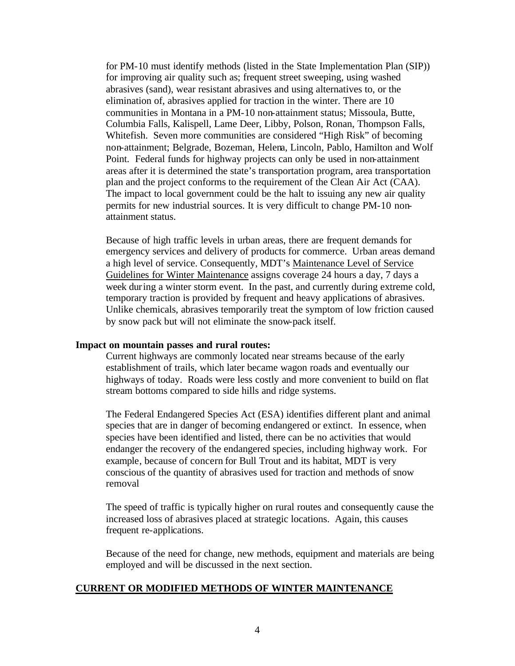for PM-10 must identify methods (listed in the State Implementation Plan (SIP)) for improving air quality such as; frequent street sweeping, using washed abrasives (sand), wear resistant abrasives and using alternatives to, or the elimination of, abrasives applied for traction in the winter. There are 10 communities in Montana in a PM-10 non-attainment status; Missoula, Butte, Columbia Falls, Kalispell, Lame Deer, Libby, Polson, Ronan, Thompson Falls, Whitefish. Seven more communities are considered "High Risk" of becoming non-attainment; Belgrade, Bozeman, Helena, Lincoln, Pablo, Hamilton and Wolf Point. Federal funds for highway projects can only be used in non-attainment areas after it is determined the state's transportation program, area transportation plan and the project conforms to the requirement of the Clean Air Act (CAA). The impact to local government could be the halt to issuing any new air quality permits for new industrial sources. It is very difficult to change PM-10 nonattainment status.

Because of high traffic levels in urban areas, there are frequent demands for emergency services and delivery of products for commerce. Urban areas demand a high level of service. Consequently, MDT's Maintenance Level of Service Guidelines for Winter Maintenance assigns coverage 24 hours a day, 7 days a week during a winter storm event. In the past, and currently during extreme cold, temporary traction is provided by frequent and heavy applications of abrasives. Unlike chemicals, abrasives temporarily treat the symptom of low friction caused by snow pack but will not eliminate the snow-pack itself.

#### **Impact on mountain passes and rural routes:**

Current highways are commonly located near streams because of the early establishment of trails, which later became wagon roads and eventually our highways of today. Roads were less costly and more convenient to build on flat stream bottoms compared to side hills and ridge systems.

The Federal Endangered Species Act (ESA) identifies different plant and animal species that are in danger of becoming endangered or extinct. In essence, when species have been identified and listed, there can be no activities that would endanger the recovery of the endangered species, including highway work. For example*,* because of concern for Bull Trout and its habitat, MDT is very conscious of the quantity of abrasives used for traction and methods of snow removal

The speed of traffic is typically higher on rural routes and consequently cause the increased loss of abrasives placed at strategic locations. Again, this causes frequent re-applications.

Because of the need for change, new methods, equipment and materials are being employed and will be discussed in the next section.

#### **CURRENT OR MODIFIED METHODS OF WINTER MAINTENANCE**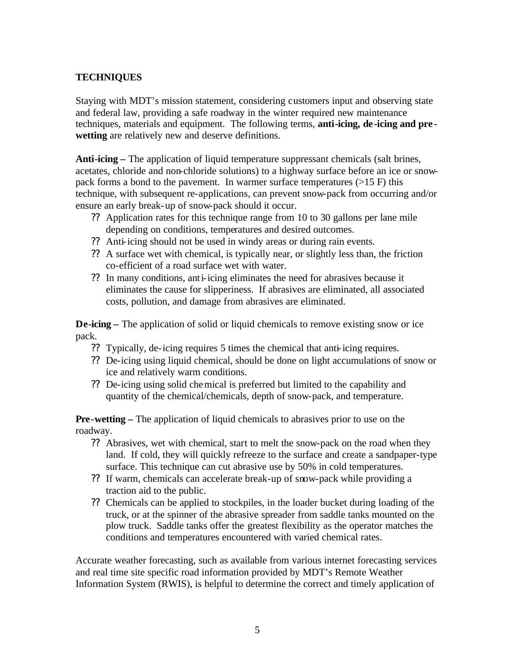## **TECHNIQUES**

Staying with MDT's mission statement, considering customers input and observing state and federal law, providing a safe roadway in the winter required new maintenance techniques, materials and equipment. The following terms, **anti-icing, de-icing and pre wetting** are relatively new and deserve definitions.

**Anti-icing –** The application of liquid temperature suppressant chemicals (salt brines, acetates, chloride and non-chloride solutions) to a highway surface before an ice or snowpack forms a bond to the pavement. In warmer surface temperatures  $(>15 F)$  this technique, with subsequent re-applications, can prevent snow-pack from occurring and/or ensure an early break-up of snow-pack should it occur.

- ?? Application rates for this technique range from 10 to 30 gallons per lane mile depending on conditions, temperatures and desired outcomes.
- ?? Anti-icing should not be used in windy areas or during rain events.
- ?? A surface wet with chemical, is typically near, or slightly less than, the friction co-efficient of a road surface wet with water.
- ?? In many conditions, anti-icing eliminates the need for abrasives because it eliminates the cause for slipperiness. If abrasives are eliminated, all associated costs, pollution, and damage from abrasives are eliminated.

**De-icing –** The application of solid or liquid chemicals to remove existing snow or ice pack.

- ?? Typically, de-icing requires 5 times the chemical that anti-icing requires.
- ?? De-icing using liquid chemical, should be done on light accumulations of snow or ice and relatively warm conditions.
- ?? De-icing using solid chemical is preferred but limited to the capability and quantity of the chemical/chemicals, depth of snow-pack, and temperature.

**Pre-wetting –** The application of liquid chemicals to abrasives prior to use on the roadway.

- ?? Abrasives, wet with chemical, start to melt the snow-pack on the road when they land. If cold, they will quickly refreeze to the surface and create a sandpaper-type surface. This technique can cut abrasive use by 50% in cold temperatures.
- ?? If warm, chemicals can accelerate break-up of snow-pack while providing a traction aid to the public.
- ?? Chemicals can be applied to stockpiles, in the loader bucket during loading of the truck, or at the spinner of the abrasive spreader from saddle tanks mounted on the plow truck. Saddle tanks offer the greatest flexibility as the operator matches the conditions and temperatures encountered with varied chemical rates.

Accurate weather forecasting, such as available from various internet forecasting services and real time site specific road information provided by MDT's Remote Weather Information System (RWIS), is helpful to determine the correct and timely application of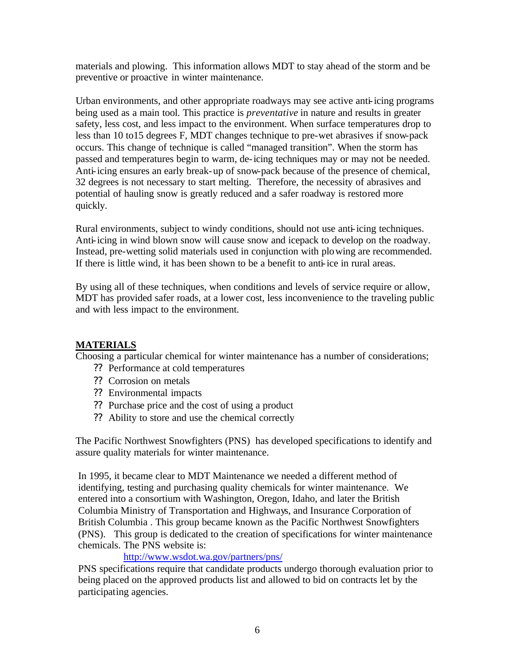materials and plowing. This information allows MDT to stay ahead of the storm and be preventive or proactive in winter maintenance.

Urban environments, and other appropriate roadways may see active anti-icing programs being used as a main tool. This practice is *preventative* in nature and results in greater safety, less cost, and less impact to the environment. When surface temperatures drop to less than 10 to15 degrees F, MDT changes technique to pre-wet abrasives if snow-pack occurs. This change of technique is called "managed transition". When the storm has passed and temperatures begin to warm, de-icing techniques may or may not be needed. Anti-icing ensures an early break-up of snow-pack because of the presence of chemical, 32 degrees is not necessary to start melting. Therefore, the necessity of abrasives and potential of hauling snow is greatly reduced and a safer roadway is restored more quickly.

Rural environments, subject to windy conditions, should not use anti-icing techniques. Anti-icing in wind blown snow will cause snow and icepack to develop on the roadway. Instead, pre-wetting solid materials used in conjunction with plowing are recommended. If there is little wind, it has been shown to be a benefit to anti-ice in rural areas.

By using all of these techniques, when conditions and levels of service require or allow, MDT has provided safer roads, at a lower cost, less inconvenience to the traveling public and with less impact to the environment.

# **MATERIALS**

Choosing a particular chemical for winter maintenance has a number of considerations;

- ?? Performance at cold temperatures
- ?? Corrosion on metals
- ?? Environmental impacts
- ?? Purchase price and the cost of using a product
- ?? Ability to store and use the chemical correctly

The Pacific Northwest Snowfighters (PNS) has developed specifications to identify and assure quality materials for winter maintenance.

In 1995, it became clear to MDT Maintenance we needed a different method of identifying, testing and purchasing quality chemicals for winter maintenance. We entered into a consortium with Washington, Oregon, Idaho, and later the British Columbia Ministry of Transportation and Highways, and Insurance Corporation of British Columbia . This group became known as the Pacific Northwest Snowfighters (PNS). This group is dedicated to the creation of specifications for winter maintenance chemicals. The PNS website is:

http://www.wsdot.wa.gov/partners/pns/

PNS specifications require that candidate products undergo thorough evaluation prior to being placed on the approved products list and allowed to bid on contracts let by the participating agencies.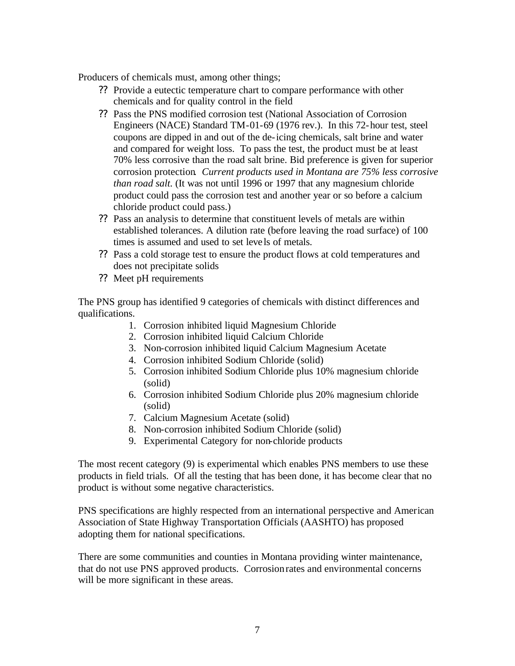Producers of chemicals must, among other things;

- ?? Provide a eutectic temperature chart to compare performance with other chemicals and for quality control in the field
- ?? Pass the PNS modified corrosion test (National Association of Corrosion Engineers (NACE) Standard TM-01-69 (1976 rev.). In this 72-hour test, steel coupons are dipped in and out of the de-icing chemicals, salt brine and water and compared for weight loss. To pass the test, the product must be at least 70% less corrosive than the road salt brine. Bid preference is given for superior corrosion protection*. Current products used in Montana are 75% less corrosive than road salt.* (It was not until 1996 or 1997 that any magnesium chloride product could pass the corrosion test and another year or so before a calcium chloride product could pass.)
- ?? Pass an analysis to determine that constituent levels of metals are within established tolerances. A dilution rate (before leaving the road surface) of 100 times is assumed and used to set levels of metals.
- ?? Pass a cold storage test to ensure the product flows at cold temperatures and does not precipitate solids
- ?? Meet pH requirements

The PNS group has identified 9 categories of chemicals with distinct differences and qualifications.

- 1. Corrosion inhibited liquid Magnesium Chloride
- 2. Corrosion inhibited liquid Calcium Chloride
- 3. Non-corrosion inhibited liquid Calcium Magnesium Acetate
- 4. Corrosion inhibited Sodium Chloride (solid)
- 5. Corrosion inhibited Sodium Chloride plus 10% magnesium chloride (solid)
- 6. Corrosion inhibited Sodium Chloride plus 20% magnesium chloride (solid)
- 7. Calcium Magnesium Acetate (solid)
- 8. Non-corrosion inhibited Sodium Chloride (solid)
- 9. Experimental Category for non-chloride products

The most recent category (9) is experimental which enables PNS members to use these products in field trials. Of all the testing that has been done, it has become clear that no product is without some negative characteristics.

PNS specifications are highly respected from an international perspective and American Association of State Highway Transportation Officials (AASHTO) has proposed adopting them for national specifications.

There are some communities and counties in Montana providing winter maintenance, that do not use PNS approved products. Corrosion rates and environmental concerns will be more significant in these areas.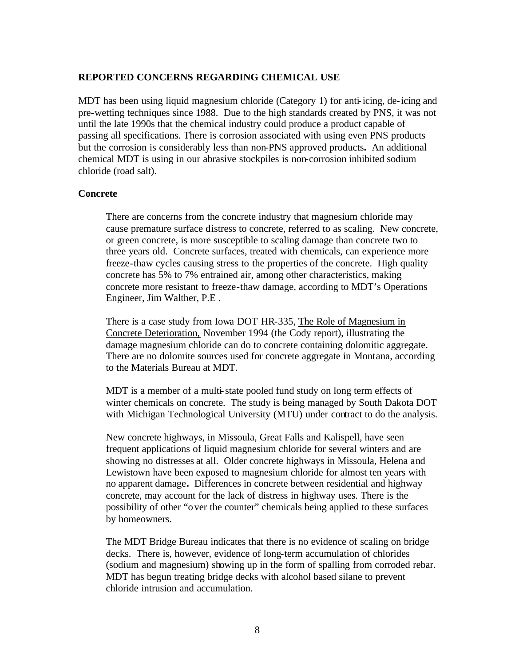#### **REPORTED CONCERNS REGARDING CHEMICAL USE**

MDT has been using liquid magnesium chloride (Category 1) for anti-icing, de-icing and pre-wetting techniques since 1988. Due to the high standards created by PNS, it was not until the late 1990s that the chemical industry could produce a product capable of passing all specifications. There is corrosion associated with using even PNS products but the corrosion is considerably less than non-PNS approved products**.** An additional chemical MDT is using in our abrasive stockpiles is non-corrosion inhibited sodium chloride (road salt).

#### **Concrete**

There are concerns from the concrete industry that magnesium chloride may cause premature surface distress to concrete, referred to as scaling. New concrete, or green concrete, is more susceptible to scaling damage than concrete two to three years old. Concrete surfaces, treated with chemicals, can experience more freeze-thaw cycles causing stress to the properties of the concrete. High quality concrete has 5% to 7% entrained air, among other characteristics, making concrete more resistant to freeze-thaw damage, according to MDT's Operations Engineer, Jim Walther, P.E .

There is a case study from Iowa DOT HR-335, The Role of Magnesium in Concrete Deterioration, November 1994 (the Cody report), illustrating the damage magnesium chloride can do to concrete containing dolomitic aggregate. There are no dolomite sources used for concrete aggregate in Montana, according to the Materials Bureau at MDT.

MDT is a member of a multi-state pooled fund study on long term effects of winter chemicals on concrete. The study is being managed by South Dakota DOT with Michigan Technological University (MTU) under contract to do the analysis.

New concrete highways, in Missoula, Great Falls and Kalispell, have seen frequent applications of liquid magnesium chloride for several winters and are showing no distresses at all. Older concrete highways in Missoula, Helena and Lewistown have been exposed to magnesium chloride for almost ten years with no apparent damage**.** Differences in concrete between residential and highway concrete, may account for the lack of distress in highway uses. There is the possibility of other "over the counter" chemicals being applied to these surfaces by homeowners.

The MDT Bridge Bureau indicates that there is no evidence of scaling on bridge decks. There is, however, evidence of long-term accumulation of chlorides (sodium and magnesium) showing up in the form of spalling from corroded rebar. MDT has begun treating bridge decks with alcohol based silane to prevent chloride intrusion and accumulation.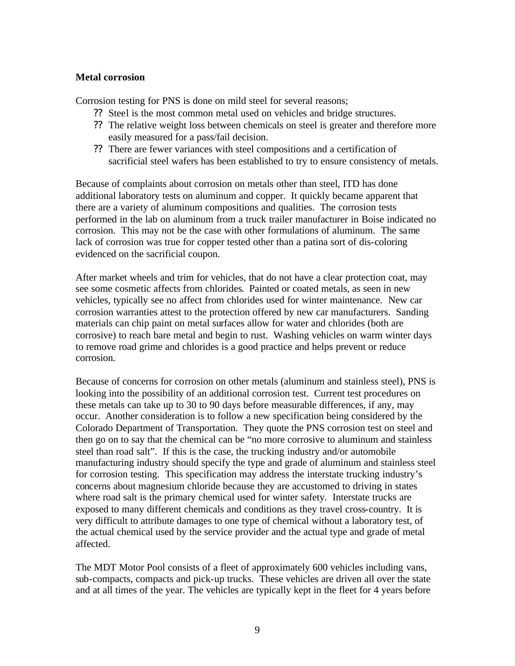### **Metal corrosion**

Corrosion testing for PNS is done on mild steel for several reasons;

- ?? Steel is the most common metal used on vehicles and bridge structures.
- ?? The relative weight loss between chemicals on steel is greater and therefore more easily measured for a pass/fail decision.
- ?? There are fewer variances with steel compositions and a certification of sacrificial steel wafers has been established to try to ensure consistency of metals.

Because of complaints about corrosion on metals other than steel, ITD has done additional laboratory tests on aluminum and copper. It quickly became apparent that there are a variety of aluminum compositions and qualities. The corrosion tests performed in the lab on aluminum from a truck trailer manufacturer in Boise indicated no corrosion. This may not be the case with other formulations of aluminum. The same lack of corrosion was true for copper tested other than a patina sort of dis-coloring evidenced on the sacrificial coupon.

After market wheels and trim for vehicles, that do not have a clear protection coat, may see some cosmetic affects from chlorides. Painted or coated metals, as seen in new vehicles, typically see no affect from chlorides used for winter maintenance. New car corrosion warranties attest to the protection offered by new car manufacturers. Sanding materials can chip paint on metal surfaces allow for water and chlorides (both are corrosive) to reach bare metal and begin to rust. Washing vehicles on warm winter days to remove road grime and chlorides is a good practice and helps prevent or reduce corrosion.

Because of concerns for corrosion on other metals (aluminum and stainless steel), PNS is looking into the possibility of an additional corrosion test. Current test procedures on these metals can take up to 30 to 90 days before measurable differences, if any, may occur. Another consideration is to follow a new specification being considered by the Colorado Department of Transportation. They quote the PNS corrosion test on steel and then go on to say that the chemical can be "no more corrosive to aluminum and stainless steel than road salt". If this is the case, the trucking industry and/or automobile manufacturing industry should specify the type and grade of aluminum and stainless steel for corrosion testing. This specification may address the interstate trucking industry's concerns about magnesium chloride because they are accustomed to driving in states where road salt is the primary chemical used for winter safety. Interstate trucks are exposed to many different chemicals and conditions as they travel cross-country. It is very difficult to attribute damages to one type of chemical without a laboratory test, of the actual chemical used by the service provider and the actual type and grade of metal affected.

The MDT Motor Pool consists of a fleet of approximately 600 vehicles including vans, sub-compacts, compacts and pick-up trucks. These vehicles are driven all over the state and at all times of the year. The vehicles are typically kept in the fleet for 4 years before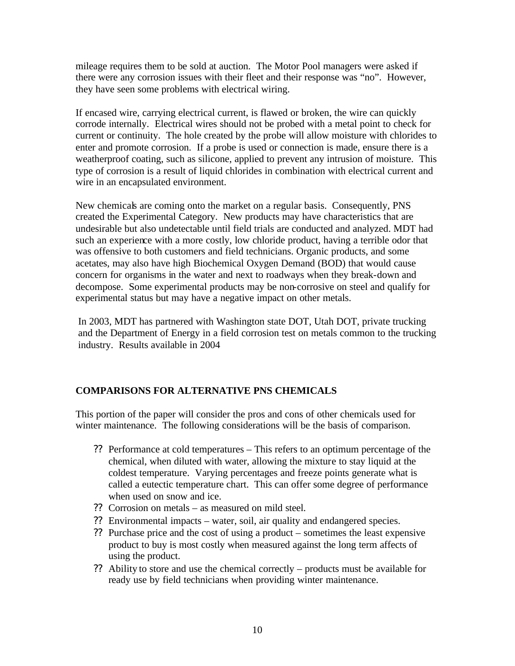mileage requires them to be sold at auction. The Motor Pool managers were asked if there were any corrosion issues with their fleet and their response was "no". However, they have seen some problems with electrical wiring.

If encased wire, carrying electrical current, is flawed or broken, the wire can quickly corrode internally. Electrical wires should not be probed with a metal point to check for current or continuity. The hole created by the probe will allow moisture with chlorides to enter and promote corrosion. If a probe is used or connection is made, ensure there is a weatherproof coating, such as silicone, applied to prevent any intrusion of moisture. This type of corrosion is a result of liquid chlorides in combination with electrical current and wire in an encapsulated environment.

New chemicals are coming onto the market on a regular basis. Consequently, PNS created the Experimental Category. New products may have characteristics that are undesirable but also undetectable until field trials are conducted and analyzed. MDT had such an experience with a more costly, low chloride product, having a terrible odor that was offensive to both customers and field technicians. Organic products, and some acetates, may also have high Biochemical Oxygen Demand (BOD) that would cause concern for organisms in the water and next to roadways when they break-down and decompose. Some experimental products may be non-corrosive on steel and qualify for experimental status but may have a negative impact on other metals.

In 2003, MDT has partnered with Washington state DOT, Utah DOT, private trucking and the Department of Energy in a field corrosion test on metals common to the trucking industry. Results available in 2004

# **COMPARISONS FOR ALTERNATIVE PNS CHEMICALS**

This portion of the paper will consider the pros and cons of other chemicals used for winter maintenance. The following considerations will be the basis of comparison.

- ?? Performance at cold temperatures This refers to an optimum percentage of the chemical, when diluted with water, allowing the mixture to stay liquid at the coldest temperature. Varying percentages and freeze points generate what is called a eutectic temperature chart. This can offer some degree of performance when used on snow and ice.
- ?? Corrosion on metals as measured on mild steel.
- ?? Environmental impacts water, soil, air quality and endangered species.
- ?? Purchase price and the cost of using a product sometimes the least expensive product to buy is most costly when measured against the long term affects of using the product.
- ?? Ability to store and use the chemical correctly products must be available for ready use by field technicians when providing winter maintenance.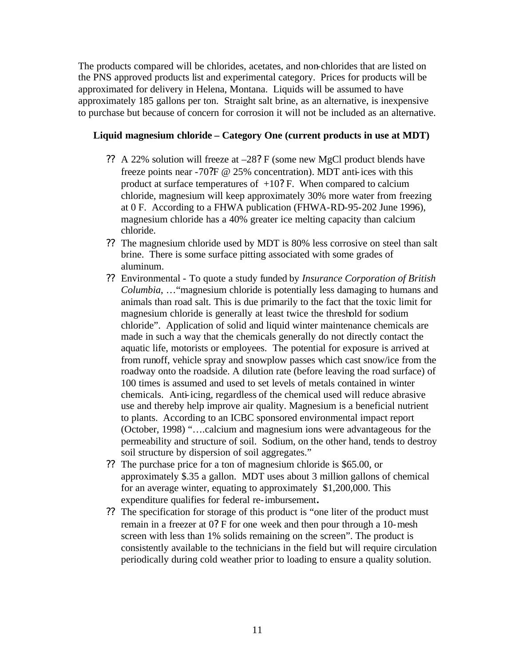The products compared will be chlorides, acetates, and non-chlorides that are listed on the PNS approved products list and experimental category. Prices for products will be approximated for delivery in Helena, Montana. Liquids will be assumed to have approximately 185 gallons per ton. Straight salt brine, as an alternative, is inexpensive to purchase but because of concern for corrosion it will not be included as an alternative.

### **Liquid magnesium chloride – Category One (current products in use at MDT)**

- ?? A 22% solution will freeze at –28? F (some new MgCl product blends have freeze points near -70?F @ 25% concentration). MDT anti-ices with this product at surface temperatures of  $+10$ ? F. When compared to calcium chloride, magnesium will keep approximately 30% more water from freezing at 0 F. According to a FHWA publication (FHWA-RD-95-202 June 1996), magnesium chloride has a 40% greater ice melting capacity than calcium chloride.
- ?? The magnesium chloride used by MDT is 80% less corrosive on steel than salt brine. There is some surface pitting associated with some grades of aluminum.
- ?? Environmental To quote a study funded by *Insurance Corporation of British Columbia*, …"magnesium chloride is potentially less damaging to humans and animals than road salt. This is due primarily to the fact that the toxic limit for magnesium chloride is generally at least twice the threshold for sodium chloride". Application of solid and liquid winter maintenance chemicals are made in such a way that the chemicals generally do not directly contact the aquatic life, motorists or employees. The potential for exposure is arrived at from runoff, vehicle spray and snowplow passes which cast snow/ice from the roadway onto the roadside. A dilution rate (before leaving the road surface) of 100 times is assumed and used to set levels of metals contained in winter chemicals. Anti-icing, regardless of the chemical used will reduce abrasive use and thereby help improve air quality. Magnesium is a beneficial nutrient to plants. According to an ICBC sponsored environmental impact report (October, 1998) "….calcium and magnesium ions were advantageous for the permeability and structure of soil. Sodium, on the other hand, tends to destroy soil structure by dispersion of soil aggregates."
- ?? The purchase price for a ton of magnesium chloride is \$65.00, or approximately \$.35 a gallon. MDT uses about 3 million gallons of chemical for an average winter, equating to approximately \$1,200,000. This expenditure qualifies for federal re-imbursement**.**
- ?? The specification for storage of this product is "one liter of the product must remain in a freezer at 0? F for one week and then pour through a 10-mesh screen with less than 1% solids remaining on the screen". The product is consistently available to the technicians in the field but will require circulation periodically during cold weather prior to loading to ensure a quality solution.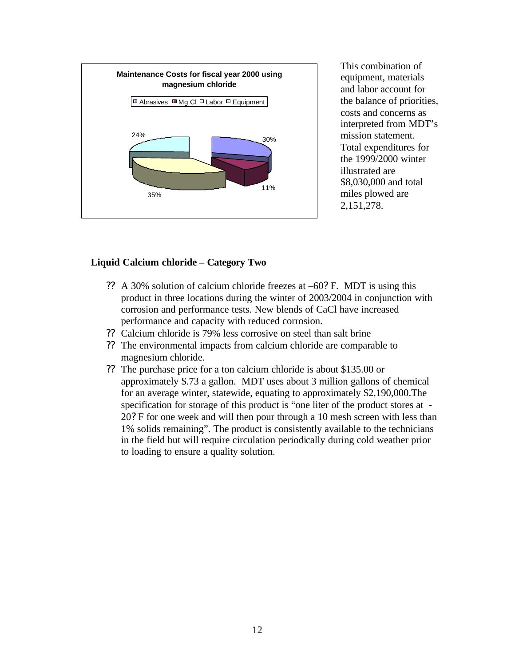

This combination of equipment, materials and labor account for the balance of priorities, costs and concerns as interpreted from MDT's mission statement. Total expenditures for the 1999/2000 winter illustrated are \$8,030,000 and total miles plowed are 2,151,278.

### **Liquid Calcium chloride – Category Two**

- ?? A 30% solution of calcium chloride freezes at –60? F. MDT is using this product in three locations during the winter of 2003/2004 in conjunction with corrosion and performance tests. New blends of CaCl have increased performance and capacity with reduced corrosion.
- ?? Calcium chloride is 79% less corrosive on steel than salt brine
- ?? The environmental impacts from calcium chloride are comparable to magnesium chloride.
- ?? The purchase price for a ton calcium chloride is about \$135.00 or approximately \$.73 a gallon. MDT uses about 3 million gallons of chemical for an average winter, statewide, equating to approximately \$2,190,000.The specification for storage of this product is "one liter of the product stores at - 20? F for one week and will then pour through a 10 mesh screen with less than 1% solids remaining". The product is consistently available to the technicians in the field but will require circulation periodically during cold weather prior to loading to ensure a quality solution.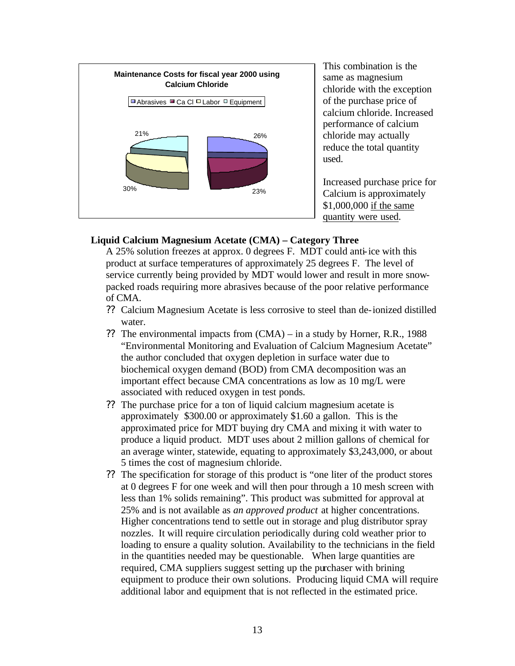

This combination is the same as magnesium chloride with the exception of the purchase price of calcium chloride. Increased performance of calcium chloride may actually reduce the total quantity used.

Increased purchase price for Calcium is approximately \$1,000,000 if the same quantity were used.

### **Liquid Calcium Magnesium Acetate (CMA) – Category Three**

A 25% solution freezes at approx. 0 degrees F. MDT could anti-ice with this product at surface temperatures of approximately 25 degrees F. The level of service currently being provided by MDT would lower and result in more snowpacked roads requiring more abrasives because of the poor relative performance of CMA.

- ?? Calcium Magnesium Acetate is less corrosive to steel than de-ionized distilled water.
- ?? The environmental impacts from (CMA) in a study by Horner, R.R., 1988 "Environmental Monitoring and Evaluation of Calcium Magnesium Acetate" the author concluded that oxygen depletion in surface water due to biochemical oxygen demand (BOD) from CMA decomposition was an important effect because CMA concentrations as low as 10 mg/L were associated with reduced oxygen in test ponds.
- ?? The purchase price for a ton of liquid calcium magnesium acetate is approximately \$300.00 or approximately \$1.60 a gallon. This is the approximated price for MDT buying dry CMA and mixing it with water to produce a liquid product. MDT uses about 2 million gallons of chemical for an average winter, statewide, equating to approximately \$3,243,000, or about 5 times the cost of magnesium chloride.
- ?? The specification for storage of this product is "one liter of the product stores at 0 degrees F for one week and will then pour through a 10 mesh screen with less than 1% solids remaining". This product was submitted for approval at 25% and is not available as *an approved product* at higher concentrations. Higher concentrations tend to settle out in storage and plug distributor spray nozzles. It will require circulation periodically during cold weather prior to loading to ensure a quality solution. Availability to the technicians in the field in the quantities needed may be questionable. When large quantities are required, CMA suppliers suggest setting up the purchaser with brining equipment to produce their own solutions. Producing liquid CMA will require additional labor and equipment that is not reflected in the estimated price.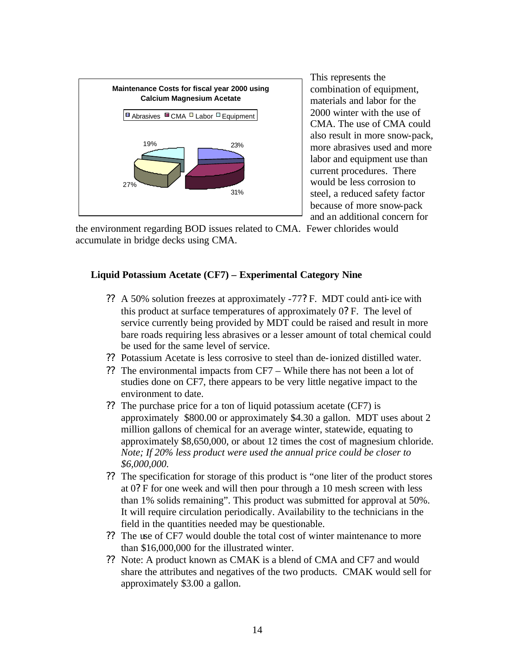

This represents the combination of equipment, materials and labor for the 2000 winter with the use of CMA. The use of CMA could also result in more snow-pack, more abrasives used and more labor and equipment use than current procedures. There would be less corrosion to steel, a reduced safety factor because of more snow-pack and an additional concern for

the environment regarding BOD issues related to CMA. Fewer chlorides would accumulate in bridge decks using CMA.

# **Liquid Potassium Acetate (CF7) – Experimental Category Nine**

- ?? A 50% solution freezes at approximately -77? F. MDT could anti-ice with this product at surface temperatures of approximately 0? F. The level of service currently being provided by MDT could be raised and result in more bare roads requiring less abrasives or a lesser amount of total chemical could be used for the same level of service.
- ?? Potassium Acetate is less corrosive to steel than de-ionized distilled water.
- ?? The environmental impacts from CF7 While there has not been a lot of studies done on CF7, there appears to be very little negative impact to the environment to date.
- ?? The purchase price for a ton of liquid potassium acetate (CF7) is approximately \$800.00 or approximately \$4.30 a gallon. MDT uses about 2 million gallons of chemical for an average winter, statewide, equating to approximately \$8,650,000, or about 12 times the cost of magnesium chloride. *Note; If 20% less product were used the annual price could be closer to \$6,000,000.*
- ?? The specification for storage of this product is "one liter of the product stores at 0? F for one week and will then pour through a 10 mesh screen with less than 1% solids remaining". This product was submitted for approval at 50%. It will require circulation periodically. Availability to the technicians in the field in the quantities needed may be questionable.
- ?? The use of CF7 would double the total cost of winter maintenance to more than \$16,000,000 for the illustrated winter.
- ?? Note: A product known as CMAK is a blend of CMA and CF7 and would share the attributes and negatives of the two products. CMAK would sell for approximately \$3.00 a gallon.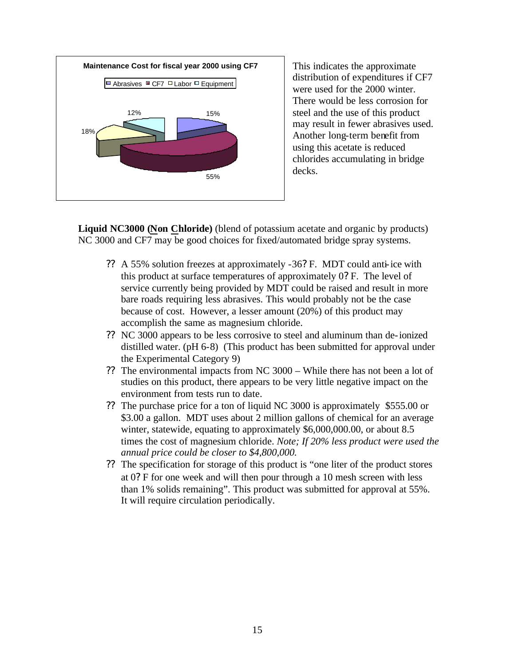

This indicates the approximate distribution of expenditures if CF7 were used for the 2000 winter. There would be less corrosion for steel and the use of this product may result in fewer abrasives used. Another long-term benefit from using this acetate is reduced chlorides accumulating in bridge decks.

**Liquid NC3000 (Non Chloride)** (blend of potassium acetate and organic by products) NC 3000 and CF7 may be good choices for fixed/automated bridge spray systems.

- ?? A 55% solution freezes at approximately -36? F. MDT could anti-ice with this product at surface temperatures of approximately 0? F. The level of service currently being provided by MDT could be raised and result in more bare roads requiring less abrasives. This would probably not be the case because of cost. However, a lesser amount (20%) of this product may accomplish the same as magnesium chloride.
- ?? NC 3000 appears to be less corrosive to steel and aluminum than de-ionized distilled water. (pH 6-8) (This product has been submitted for approval under the Experimental Category 9)
- ?? The environmental impacts from NC 3000 While there has not been a lot of studies on this product, there appears to be very little negative impact on the environment from tests run to date.
- ?? The purchase price for a ton of liquid NC 3000 is approximately \$555.00 or \$3.00 a gallon. MDT uses about 2 million gallons of chemical for an average winter, statewide, equating to approximately \$6,000,000.00, or about 8.5 times the cost of magnesium chloride. *Note; If 20% less product were used the annual price could be closer to \$4,800,000.*
- ?? The specification for storage of this product is "one liter of the product stores at 0? F for one week and will then pour through a 10 mesh screen with less than 1% solids remaining". This product was submitted for approval at 55%. It will require circulation periodically.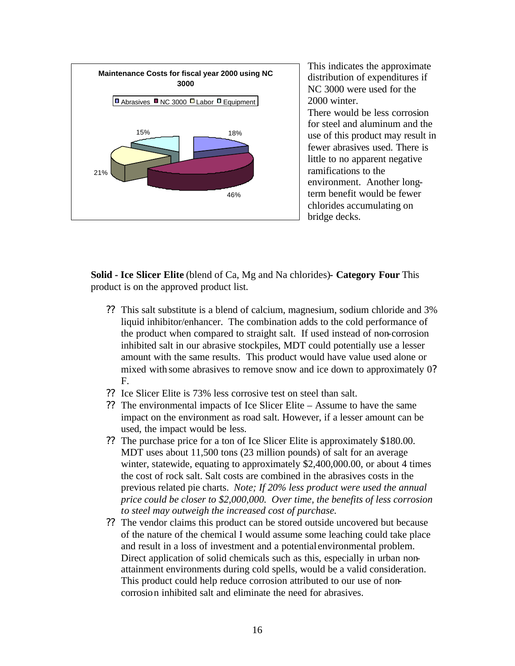

This indicates the approximate distribution of expenditures if NC 3000 were used for the 2000 winter. There would be less corrosion for steel and aluminum and the use of this product may result in fewer abrasives used. There is little to no apparent negative ramifications to the environment. Another longterm benefit would be fewer chlorides accumulating on bridge decks.

**Solid - Ice Slicer Elite** (blend of Ca, Mg and Na chlorides)**- Category Four** This product is on the approved product list.

- ?? This salt substitute is a blend of calcium, magnesium, sodium chloride and 3% liquid inhibitor/enhancer. The combination adds to the cold performance of the product when compared to straight salt. If used instead of non-corrosion inhibited salt in our abrasive stockpiles, MDT could potentially use a lesser amount with the same results. This product would have value used alone or mixed with some abrasives to remove snow and ice down to approximately 0? F.
- ?? Ice Slicer Elite is 73% less corrosive test on steel than salt.
- ?? The environmental impacts of Ice Slicer Elite Assume to have the same impact on the environment as road salt. However, if a lesser amount can be used, the impact would be less.
- ?? The purchase price for a ton of Ice Slicer Elite is approximately \$180.00. MDT uses about 11,500 tons (23 million pounds) of salt for an average winter, statewide, equating to approximately \$2,400,000.00, or about 4 times the cost of rock salt. Salt costs are combined in the abrasives costs in the previous related pie charts. *Note; If 20% less product were used the annual price could be closer to \$2,000,000. Over time, the benefits of less corrosion to steel may outweigh the increased cost of purchase.*
- ?? The vendor claims this product can be stored outside uncovered but because of the nature of the chemical I would assume some leaching could take place and result in a loss of investment and a potential environmental problem. Direct application of solid chemicals such as this, especially in urban nonattainment environments during cold spells, would be a valid consideration. This product could help reduce corrosion attributed to our use of noncorrosion inhibited salt and eliminate the need for abrasives.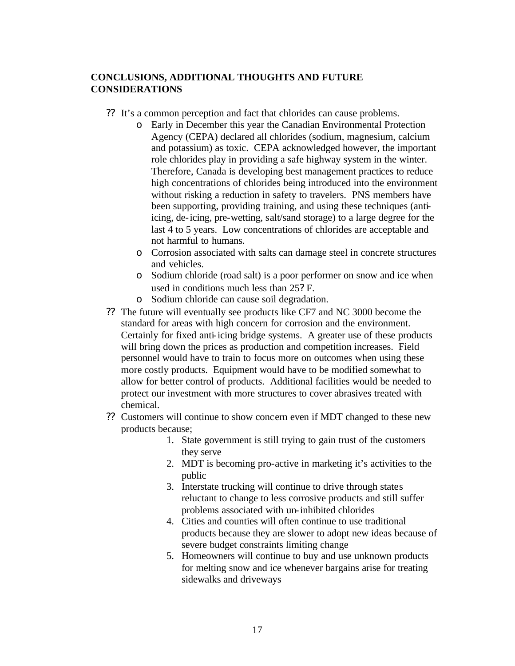## **CONCLUSIONS, ADDITIONAL THOUGHTS AND FUTURE CONSIDERATIONS**

- ?? It's a common perception and fact that chlorides can cause problems.
	- o Early in December this year the Canadian Environmental Protection Agency (CEPA) declared all chlorides (sodium, magnesium, calcium and potassium) as toxic. CEPA acknowledged however, the important role chlorides play in providing a safe highway system in the winter. Therefore, Canada is developing best management practices to reduce high concentrations of chlorides being introduced into the environment without risking a reduction in safety to travelers. PNS members have been supporting, providing training, and using these techniques (antiicing, de-icing, pre-wetting, salt/sand storage) to a large degree for the last 4 to 5 years. Low concentrations of chlorides are acceptable and not harmful to humans.
	- o Corrosion associated with salts can damage steel in concrete structures and vehicles.
	- o Sodium chloride (road salt) is a poor performer on snow and ice when used in conditions much less than 25? F.
	- o Sodium chloride can cause soil degradation.
- ?? The future will eventually see products like CF7 and NC 3000 become the standard for areas with high concern for corrosion and the environment. Certainly for fixed anti-icing bridge systems. A greater use of these products will bring down the prices as production and competition increases. Field personnel would have to train to focus more on outcomes when using these more costly products. Equipment would have to be modified somewhat to allow for better control of products. Additional facilities would be needed to protect our investment with more structures to cover abrasives treated with chemical.
- ?? Customers will continue to show concern even if MDT changed to these new products because;
	- 1. State government is still trying to gain trust of the customers they serve
	- 2. MDT is becoming pro-active in marketing it's activities to the public
	- 3. Interstate trucking will continue to drive through states reluctant to change to less corrosive products and still suffer problems associated with un-inhibited chlorides
	- 4. Cities and counties will often continue to use traditional products because they are slower to adopt new ideas because of severe budget constraints limiting change
	- 5. Homeowners will continue to buy and use unknown products for melting snow and ice whenever bargains arise for treating sidewalks and driveways